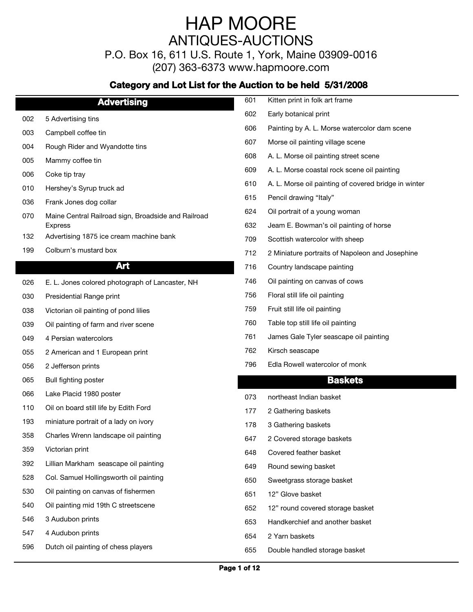P.O. Box 16, 611 U.S. Route 1, York, Maine 03909-0016

(207) 363-6373 www.hapmoore.com

|     | <b>Advertising</b>                                  | 601 | Kitten print in folk art frame                       |
|-----|-----------------------------------------------------|-----|------------------------------------------------------|
| 002 | 5 Advertising tins                                  | 602 | Early botanical print                                |
| 003 | Campbell coffee tin                                 | 606 | Painting by A. L. Morse watercolor dam scene         |
| 004 | Rough Rider and Wyandotte tins                      | 607 | Morse oil painting village scene                     |
| 005 | Mammy coffee tin                                    | 608 | A. L. Morse oil painting street scene                |
| 006 | Coke tip tray                                       | 609 | A. L. Morse coastal rock scene oil painting          |
| 010 | Hershey's Syrup truck ad                            | 610 | A. L. Morse oil painting of covered bridge in winter |
| 036 | Frank Jones dog collar                              | 615 | Pencil drawing "Italy"                               |
| 070 | Maine Central Railroad sign, Broadside and Railroad | 624 | Oil portrait of a young woman                        |
|     | <b>Express</b>                                      | 632 | Jeam E. Bowman's oil painting of horse               |
| 132 | Advertising 1875 ice cream machine bank             | 709 | Scottish watercolor with sheep                       |
| 199 | Colburn's mustard box                               | 712 | 2 Miniature portraits of Napoleon and Josephine      |
|     | Art                                                 | 716 | Country landscape painting                           |
| 026 | E. L. Jones colored photograph of Lancaster, NH     | 746 | Oil painting on canvas of cows                       |
| 030 | Presidential Range print                            | 756 | Floral still life oil painting                       |
| 038 | Victorian oil painting of pond lilies               | 759 | Fruit still life oil painting                        |
| 039 | Oil painting of farm and river scene                | 760 | Table top still life oil painting                    |
| 049 | 4 Persian watercolors                               | 761 | James Gale Tyler seascape oil painting               |
| 055 | 2 American and 1 European print                     | 762 | Kirsch seascape                                      |
| 056 | 2 Jefferson prints                                  | 796 | Edla Rowell watercolor of monk                       |
| 065 | Bull fighting poster                                |     | <b>Baskets</b>                                       |
| 066 | Lake Placid 1980 poster                             | 073 | northeast Indian basket                              |
| 110 | Oil on board still life by Edith Ford               | 177 | 2 Gathering baskets                                  |
| 193 | miniature portrait of a lady on ivory               | 178 | 3 Gathering baskets                                  |
| 358 | Charles Wrenn landscape oil painting                | 647 | 2 Covered storage baskets                            |
| 359 | Victorian print                                     | 648 | Covered feather basket                               |
| 392 | Lillian Markham seascape oil painting               | 649 | Round sewing basket                                  |
| 528 | Col. Samuel Hollingsworth oil painting              | 650 | Sweetgrass storage basket                            |
| 530 | Oil painting on canvas of fishermen                 | 651 | 12" Glove basket                                     |
| 540 | Oil painting mid 19th C streetscene                 | 652 | 12" round covered storage basket                     |
| 546 | 3 Audubon prints                                    | 653 | Handkerchief and another basket                      |
| 547 | 4 Audubon prints                                    | 654 | 2 Yarn baskets                                       |
| 596 | Dutch oil painting of chess players                 | 655 | Double handled storage basket                        |
|     |                                                     |     |                                                      |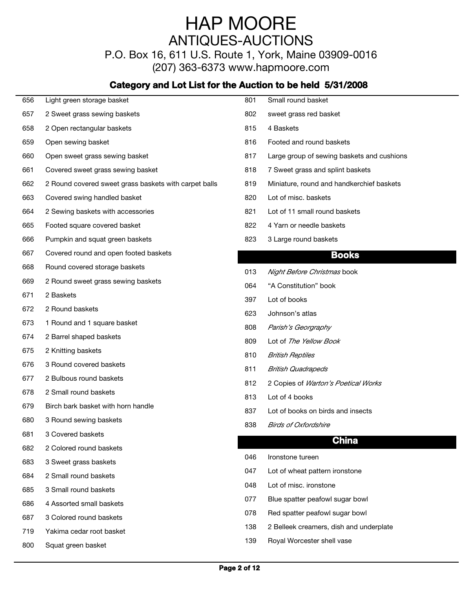P.O. Box 16, 611 U.S. Route 1, York, Maine 03909-0016

(207) 363-6373 www.hapmoore.com

| 656 | Light green storage basket                            | 801 | Small round basket                         |
|-----|-------------------------------------------------------|-----|--------------------------------------------|
| 657 | 2 Sweet grass sewing baskets                          | 802 | sweet grass red basket                     |
| 658 | 2 Open rectangular baskets                            | 815 | 4 Baskets                                  |
| 659 | Open sewing basket                                    | 816 | Footed and round baskets                   |
| 660 | Open sweet grass sewing basket                        | 817 | Large group of sewing baskets and cushions |
| 661 | Covered sweet grass sewing basket                     | 818 | 7 Sweet grass and splint baskets           |
| 662 | 2 Round covered sweet grass baskets with carpet balls | 819 | Miniature, round and handkerchief baskets  |
| 663 | Covered swing handled basket                          | 820 | Lot of misc. baskets                       |
| 664 | 2 Sewing baskets with accessories                     | 821 | Lot of 11 small round baskets              |
| 665 | Footed square covered basket                          | 822 | 4 Yarn or needle baskets                   |
| 666 | Pumpkin and squat green baskets                       | 823 | 3 Large round baskets                      |
| 667 | Covered round and open footed baskets                 |     | <b>Books</b>                               |
| 668 | Round covered storage baskets                         | 013 | Night Before Christmas book                |
| 669 | 2 Round sweet grass sewing baskets                    | 064 | "A Constitution" book                      |
| 671 | 2 Baskets                                             | 397 | Lot of books                               |
| 672 | 2 Round baskets                                       | 623 | Johnson's atlas                            |
| 673 | 1 Round and 1 square basket                           | 808 | Parish's Georgraphy                        |
| 674 | 2 Barrel shaped baskets                               | 809 | Lot of The Yellow Book                     |
| 675 | 2 Knitting baskets                                    | 810 | <b>British Reptiles</b>                    |
| 676 | 3 Round covered baskets                               | 811 | <b>British Quadrapeds</b>                  |
| 677 | 2 Bulbous round baskets                               | 812 | 2 Copies of Warton's Poetical Works        |
| 678 | 2 Small round baskets                                 | 813 | Lot of 4 books                             |
| 679 | Birch bark basket with horn handle                    | 837 | Lot of books on birds and insects          |
| 680 | 3 Round sewing baskets                                | 838 | <b>Birds of Oxfordshire</b>                |
| 681 | 3 Covered baskets                                     |     |                                            |
| 682 | 2 Colored round baskets                               |     | <b>China</b>                               |
| 683 | 3 Sweet grass baskets                                 | 046 | Ironstone tureen                           |
| 684 | 2 Small round baskets                                 | 047 | Lot of wheat pattern ironstone             |
| 685 | 3 Small round baskets                                 | 048 | Lot of misc. ironstone                     |
| 686 | 4 Assorted small baskets                              | 077 | Blue spatter peafowl sugar bowl            |
| 687 | 3 Colored round baskets                               | 078 | Red spatter peafowl sugar bowl             |
| 719 | Yakima cedar root basket                              | 138 | 2 Belleek creamers, dish and underplate    |
| 800 | Squat green basket                                    | 139 | Royal Worcester shell vase                 |
|     |                                                       |     |                                            |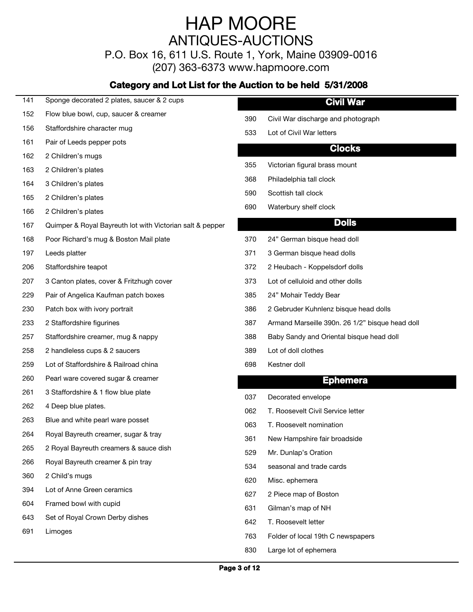P.O. Box 16, 611 U.S. Route 1, York, Maine 03909-0016

(207) 363-6373 www.hapmoore.com

#### **Category and Lot List for the Auction to be held 5/31/2008**

#### **Civil War**

152 Flow blue bowl, cup, saucer & creamer

141 Sponge decorated 2 plates, saucer & 2 cups

- 156 Staffordshire character mug<br>
156 Staffordshire character mug
- 161 Pair of Leeds pepper pots
- 162 2 Children's mugs **113.000 Except and Children's mugs** 113.000 Except and Children's mugs 113.000 Except and Children's mugs 113.000 Except and Children's mugs 113.000 Except and Children's mugs 113.000 Except and Chil
- 163 2 Children's plates and the contract of the contract of the contract in the contract of the contract of the contract of the contract of the contract of the contract of the contract of the contract of the contract of th
- 164 3 Children's plates and the state of the state of the state of the state of the state of the state of the state of the state of the state of the state of the state of the state of the state of the state of the state of
- 165 2 Children's plates and the state of the state of the state of the state of the state of the state of the state of the state of the state of the state of the state of the state of the state of the state of the state of
- 166 2 Children's plates and the contract of the contract of the contract of the contract of the contract of the contract of the contract of the contract of the contract of the contract of the contract of the contract of th
- 167 Quimper & Royal Bayreuth lot with Victorian salt & pepper
- 168 Poor Richard's mug & Boston Mail plate 115.000 Poor Richard's mug & Boston Mail plate
- 
- 
- 207 3 Canton plates, cover & Fritzhugh cover 113.000 113.000
- 229 Pair of Angelica Kaufman patch boxes 113.000 Pair of Angelica Kaufman patch boxes
- 
- 
- 
- 258 2 handleless cups & 2 saucers 113.000 and 113.000 and 113.000 and 113.000 and 113.000 and 113.000 and 113.000 and 113.000 and 113.000 and 113.000 and 113.000 and 113.000 and 113.000 and 113.000 and 113.000 and 113.000
- 259 Lot of Staffordshire & Railroad china 113.000 113.000 113.000 113.000 113.000 113.000 113.000 113.000 113.000
- 260 Pearl ware covered sugar & creamer
- 261 3 Staffordshire & 1 flow blue plate 113.00
- 
- 263 Blue and white pearl ware posset 113.000 113.000 1063
- 264 Royal Bayreuth creamer, sugar & tray 113.000 113.000
- 265 2 Royal Bayreuth creamers & sauce dish<br>529
- 266 Royal Bayreuth creamer & pin tray 113.000 PM 834
- 360 2 Child's mugs 113.000 Contracts 113.000 Contracts 113.000 Contracts 113.000 Contracts 113.000 Contracts 1
- 394 Lot of Anne Green ceramics<br>
627
- 604 Framed bowl with cupid 113.000 COM CONSERVIATE: 113.000 Communism of NH
- 643 Set of Royal Crown Derby dishes 113.000 and 113.000 and 113.000 and 113.000 and 113.000 and 113.000 and 1
- 
- Civil War discharge and photograph
- 533 Lot of Civil War letters 113.000 and 113.000 and 113.000 and 113.000 and 113.000 and 113.000 and 113.000 and 113.000 and 113.000 and 113.000 and 113.000 and 113.000 and 113.000 and 113.000 and 113.000 and 113.000 and 1

#### **Clocks**

- 355 Victorian figural brass mount
- 368 Philadelphia tall clock
- 590 Scottish tall clock 113.000 Scottish tall clock
- 690 Waterbury shelf clock

#### **Dolls**

- 24" German bisque head doll
- 197 Leeds platter the control of the state of the state of the 371 is German bisque head dolls the state of the state of the state of the state of the state of the state of the state of the state of the state of the state
- 206 Staffordshire teapot 113.00 372 2 Heubach Koppelsdorf dolls 113.00
	- Lot of celluloid and other dolls
	- 24" Mohair Teddy Bear
- 230 Patch box with ivory portrait 113.000 minimum of the context of the context of the context of the context o
- 233 2 Staffordshire figurines 113.00 387 Armand Marseille 390n. 26 1/2" bisque head doll 113.00
- 257 Staffordshire creamer, mug & nappy 113.000 Million Standy Sandy Sandy and Oriental bisque head doll
	- 389 Lot of doll clothes 113.000 minutes 113.000 minutes 113.000 minutes 113.000 minutes 113.000 minutes 113.000 minutes 113.000 minutes 113.000 minutes 113.000 minutes 113.000 minutes 113.000 minutes 113.000 minutes 113.00
	- 698 Kestner doll 113.000 Kestner doll 113.000 Kestner doll 113.000 Kestner doll 113.000 Kestner doll 113.000 Kestner doll 113.000 Kestner doll 113.000 Kestner doll 113.000 Kestner doll 113.000 Kestner doll 113.000 Kestner

#### **Ephemera**

- 037 Decorated envelope 113.000 PM and 113.000 PM and 113.000 PM and 113.000 PM and 113.000 PM and 113.000 PM and 123.000 PM and 123.000 PM and 123.000 PM and 123.000 PM and 123.000 PM and 123.000 PM and 123.000 PM and 123.
- 262 4 Deep blue plates. The same process of the service of the service of the service of the service letter and the service letter service letter and the service letter service letter service letter service letter service
	- T. Roosevelt nomination
	- New Hampshire fair broadside
	- Mr. Dunlap's Oration
	- seasonal and trade cards
	- 620 Misc. ephemera 113.000 Misc. experience 113.000 Misc. experience 113.000 Misc.
	- 2 Piece map of Boston
	- 631 Gilman's map of NH
	- 642 T. Roosevelt letter 113.000 minutes and the 113.000 minutes of the 113.000 minutes of the 113.000 minutes
- 691 Limoges 113.00 Communications of the Tomas 113.00 MHz 763 Folder of local 19th C newspapers 110.000 Communications 113.000 Communications of the Tomas 113.000 Communications of the Tomas 113.000 Communications of the T
	- 830 Large lot of ephemera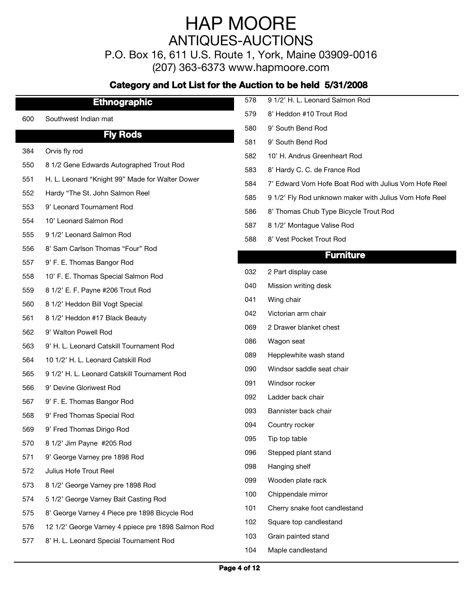P.O. Box 16, 611 U.S. Route 1, York, Maine 03909-0016

(207) 363-6373 www.hapmoore.com

|     | <b>Ethnographic</b>                                | 578 | 9 1/2' H. L. Leonard Salmon Rod                        |
|-----|----------------------------------------------------|-----|--------------------------------------------------------|
| 600 | Southwest Indian mat                               | 579 | 8' Heddon #10 Trout Rod                                |
|     | <b>Fly Rods</b>                                    | 580 | 9' South Bend Rod                                      |
|     |                                                    | 581 | 9' South Bend Rod                                      |
| 384 | Orvis fly rod                                      | 582 | 10' H. Andrus Greenheart Rod                           |
| 550 | 8 1/2 Gene Edwards Autographed Trout Rod           | 583 | 8' Hardy C. C. de France Rod                           |
| 551 | H. L. Leonard "Knight 99" Made for Walter Dower    | 584 | 7' Edward Vom Hofe Boat Rod with Julius Vom Hofe Reel  |
| 552 | Hardy "The St. John Salmon Reel                    | 585 | 9 1/2' Fly Rod unknown maker with Julius Vom Hofe Reel |
| 553 | 9' Leonard Tournament Rod                          | 586 | 8' Thomas Chub Type Bicycle Trout Rod                  |
| 554 | 10' Leonard Salmon Rod                             | 587 | 8 1/2' Montague Valise Rod                             |
| 555 | 9 1/2' Leonard Salmon Rod                          | 588 | 8' Vest Pocket Trout Rod                               |
| 556 | 8' Sam Carlson Thomas "Four" Rod                   |     | <b>Furniture</b>                                       |
| 557 | 9' F. E. Thomas Bangor Rod                         |     |                                                        |
| 558 | 10' F. E. Thomas Special Salmon Rod                | 032 | 2 Part display case                                    |
| 559 | 8 1/2' E. F. Payne #206 Trout Rod                  | 040 | Mission writing desk                                   |
| 560 | 8 1/2' Heddon Bill Vogt Special                    | 041 | Wing chair                                             |
| 561 | 8 1/2' Heddon #17 Black Beauty                     | 042 | Victorian arm chair                                    |
| 562 | 9' Walton Powell Rod                               | 069 | 2 Drawer blanket chest                                 |
| 563 | 9' H. L. Leonard Catskill Tournament Rod           | 086 | Wagon seat                                             |
| 564 | 10 1/2' H. L. Leonard Catskill Rod                 | 089 | Hepplewhite wash stand                                 |
| 565 | 9 1/2' H. L. Leonard Catskill Tournament Rod       | 090 | Windsor saddle seat chair                              |
| 566 | 9' Devine Gloriwest Rod                            | 091 | Windsor rocker                                         |
| 567 | 9' F. E. Thomas Bangor Rod                         | 092 | Ladder back chair                                      |
| 568 | 9' Fred Thomas Special Rod                         | 093 | Bannister back chair                                   |
| 569 | 9' Fred Thomas Dirigo Rod                          | 094 | Country rocker                                         |
| 570 | 8 1/2' Jim Payne #205 Rod                          | 095 | Tip top table                                          |
| 571 | 9' George Varney pre 1898 Rod                      | 096 | Stepped plant stand                                    |
| 572 | Julius Hofe Trout Reel                             | 098 | Hanging shelf                                          |
| 573 | 8 1/2' George Varney pre 1898 Rod                  | 099 | Wooden plate rack                                      |
| 574 | 5 1/2' George Varney Bait Casting Rod              | 100 | Chippendale mirror                                     |
| 575 | 8' George Varney 4 Piece pre 1898 Bicycle Rod      | 101 | Cherry snake foot candlestand                          |
| 576 | 12 1/2' George Varney 4 ppiece pre 1898 Salmon Rod | 102 | Square top candlestand                                 |
| 577 | 8' H. L. Leonard Special Tournament Rod            | 103 | Grain painted stand                                    |
|     |                                                    | 104 | Maple candlestand                                      |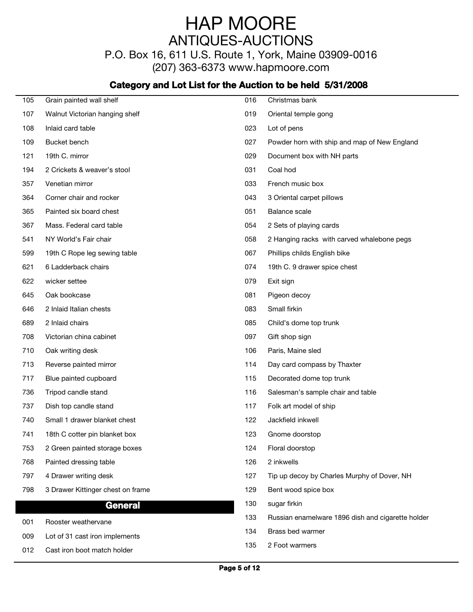P.O. Box 16, 611 U.S. Route 1, York, Maine 03909-0016

(207) 363-6373 www.hapmoore.com

| 105 | Grain painted wall shelf          | 016 | Christmas bank                                    |
|-----|-----------------------------------|-----|---------------------------------------------------|
| 107 | Walnut Victorian hanging shelf    | 019 | Oriental temple gong                              |
| 108 | Inlaid card table                 | 023 | Lot of pens                                       |
| 109 | Bucket bench                      | 027 | Powder horn with ship and map of New England      |
| 121 | 19th C. mirror                    | 029 | Document box with NH parts                        |
| 194 | 2 Crickets & weaver's stool       | 031 | Coal hod                                          |
| 357 | Venetian mirror                   | 033 | French music box                                  |
| 364 | Corner chair and rocker           | 043 | 3 Oriental carpet pillows                         |
| 365 | Painted six board chest           | 051 | Balance scale                                     |
| 367 | Mass. Federal card table          | 054 | 2 Sets of playing cards                           |
| 541 | NY World's Fair chair             | 058 | 2 Hanging racks with carved whalebone pegs        |
| 599 | 19th C Rope leg sewing table      | 067 | Phillips childs English bike                      |
| 621 | 6 Ladderback chairs               | 074 | 19th C. 9 drawer spice chest                      |
| 622 | wicker settee                     | 079 | Exit sign                                         |
| 645 | Oak bookcase                      | 081 | Pigeon decoy                                      |
| 646 | 2 Inlaid Italian chests           | 083 | Small firkin                                      |
| 689 | 2 Inlaid chairs                   | 085 | Child's dome top trunk                            |
| 708 | Victorian china cabinet           | 097 | Gift shop sign                                    |
| 710 | Oak writing desk                  | 106 | Paris, Maine sled                                 |
| 713 | Reverse painted mirror            | 114 | Day card compass by Thaxter                       |
| 717 | Blue painted cupboard             | 115 | Decorated dome top trunk                          |
| 736 | Tripod candle stand               | 116 | Salesman's sample chair and table                 |
| 737 | Dish top candle stand             | 117 | Folk art model of ship                            |
| 740 | Small 1 drawer blanket chest      | 122 | Jackfield inkwell                                 |
| 741 | 18th C cotter pin blanket box     | 123 | Gnome doorstop                                    |
| 753 | 2 Green painted storage boxes     | 124 | Floral doorstop                                   |
| 768 | Painted dressing table            | 126 | 2 inkwells                                        |
| 797 | 4 Drawer writing desk             | 127 | Tip up decoy by Charles Murphy of Dover, NH       |
| 798 | 3 Drawer Kittinger chest on frame | 129 | Bent wood spice box                               |
|     | <b>General</b>                    | 130 | sugar firkin                                      |
|     |                                   | 133 | Russian enamelware 1896 dish and cigarette holder |
| 001 | Rooster weathervane               | 134 | Brass bed warmer                                  |
| 009 | Lot of 31 cast iron implements    | 135 | 2 Foot warmers                                    |
| 012 | Cast iron boot match holder       |     |                                                   |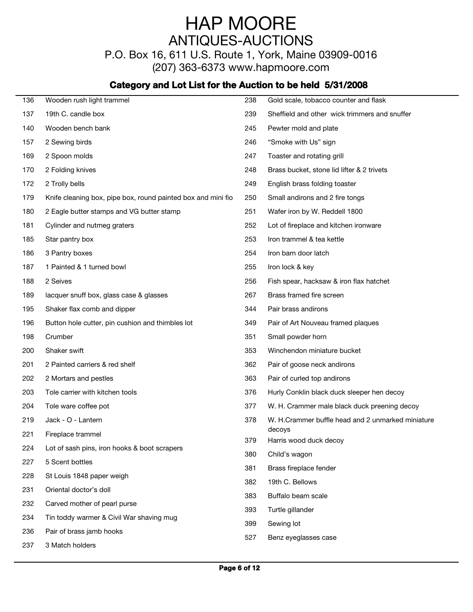P.O. Box 16, 611 U.S. Route 1, York, Maine 03909-0016

(207) 363-6373 www.hapmoore.com

| 136 | Wooden rush light trammel                                    | 238 | Gold scale, tobacco counter and flask             |
|-----|--------------------------------------------------------------|-----|---------------------------------------------------|
| 137 | 19th C. candle box                                           | 239 | Sheffield and other wick trimmers and snuffer     |
| 140 | Wooden bench bank                                            | 245 | Pewter mold and plate                             |
| 157 | 2 Sewing birds                                               | 246 | "Smoke with Us" sign                              |
| 169 | 2 Spoon molds                                                | 247 | Toaster and rotating grill                        |
| 170 | 2 Folding knives                                             | 248 | Brass bucket, stone lid lifter & 2 trivets        |
| 172 | 2 Trolly bells                                               | 249 | English brass folding toaster                     |
| 179 | Knife cleaning box, pipe box, round painted box and mini fio | 250 | Small andirons and 2 fire tongs                   |
| 180 | 2 Eagle butter stamps and VG butter stamp                    | 251 | Wafer iron by W. Reddell 1800                     |
| 181 | Cylinder and nutmeg graters                                  | 252 | Lot of fireplace and kitchen ironware             |
| 185 | Star pantry box                                              | 253 | Iron trammel & tea kettle                         |
| 186 | 3 Pantry boxes                                               | 254 | Iron barn door latch                              |
| 187 | 1 Painted & 1 turned bowl                                    | 255 | Iron lock & key                                   |
| 188 | 2 Seives                                                     | 256 | Fish spear, hacksaw & iron flax hatchet           |
| 189 | lacquer snuff box, glass case & glasses                      | 267 | Brass framed fire screen                          |
| 195 | Shaker flax comb and dipper                                  | 344 | Pair brass andirons                               |
| 196 | Button hole cutter, pin cushion and thimbles lot             | 349 | Pair of Art Nouveau framed plaques                |
| 198 | Crumber                                                      | 351 | Small powder horn                                 |
| 200 | Shaker swift                                                 | 353 | Winchendon miniature bucket                       |
| 201 | 2 Painted carriers & red shelf                               | 362 | Pair of goose neck andirons                       |
| 202 | 2 Mortars and pestles                                        | 363 | Pair of curled top andirons                       |
| 203 | Tole carrier with kitchen tools                              | 376 | Hurly Conklin black duck sleeper hen decoy        |
| 204 | Tole ware coffee pot                                         | 377 | W. H. Crammer male black duck preening decoy      |
| 219 | Jack - O - Lantern                                           | 378 | W. H.Crammer buffle head and 2 unmarked miniature |
| 221 | Fireplace trammel                                            |     | decoys                                            |
| 224 | Lot of sash pins, iron hooks & boot scrapers                 | 379 | Harris wood duck decoy                            |
| 227 | 5 Scent bottles                                              | 380 | Child's wagon                                     |
| 228 | St Louis 1848 paper weigh                                    | 381 | Brass fireplace fender                            |
| 231 | Oriental doctor's doll                                       | 382 | 19th C. Bellows                                   |
| 232 | Carved mother of pearl purse                                 | 383 | Buffalo beam scale                                |
| 234 | Tin toddy warmer & Civil War shaving mug                     | 393 | Turtle gillander                                  |
| 236 | Pair of brass jamb hooks                                     | 399 | Sewing lot                                        |
| 237 | 3 Match holders                                              | 527 | Benz eyeglasses case                              |
|     |                                                              |     |                                                   |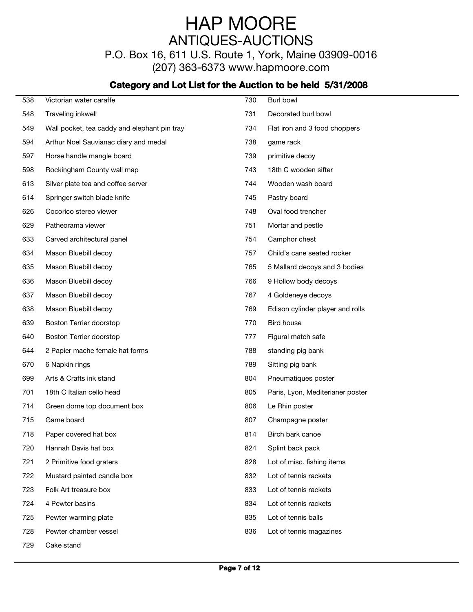P.O. Box 16, 611 U.S. Route 1, York, Maine 03909-0016

(207) 363-6373 www.hapmoore.com

| 538 | Victorian water caraffe                      | 730 | Burl bowl                        |
|-----|----------------------------------------------|-----|----------------------------------|
| 548 | Traveling inkwell                            | 731 | Decorated burl bowl              |
| 549 | Wall pocket, tea caddy and elephant pin tray | 734 | Flat iron and 3 food choppers    |
| 594 | Arthur Noel Sauvianac diary and medal        | 738 | game rack                        |
| 597 | Horse handle mangle board                    | 739 | primitive decoy                  |
| 598 | Rockingham County wall map                   | 743 | 18th C wooden sifter             |
| 613 | Silver plate tea and coffee server           | 744 | Wooden wash board                |
| 614 | Springer switch blade knife                  | 745 | Pastry board                     |
| 626 | Cocorico stereo viewer                       | 748 | Oval food trencher               |
| 629 | Patheorama viewer                            | 751 | Mortar and pestle                |
| 633 | Carved architectural panel                   | 754 | Camphor chest                    |
| 634 | Mason Bluebill decoy                         | 757 | Child's cane seated rocker       |
| 635 | Mason Bluebill decoy                         | 765 | 5 Mallard decoys and 3 bodies    |
| 636 | Mason Bluebill decoy                         | 766 | 9 Hollow body decoys             |
| 637 | Mason Bluebill decoy                         | 767 | 4 Goldeneye decoys               |
| 638 | Mason Bluebill decoy                         | 769 | Edison cylinder player and rolls |
| 639 | Boston Terrier doorstop                      | 770 | Bird house                       |
| 640 | Boston Terrier doorstop                      | 777 | Figural match safe               |
| 644 | 2 Papier mache female hat forms              | 788 | standing pig bank                |
| 670 | 6 Napkin rings                               | 789 | Sitting pig bank                 |
| 699 | Arts & Crafts ink stand                      | 804 | Pneumatiques poster              |
| 701 | 18th C Italian cello head                    | 805 | Paris, Lyon, Mediterianer poster |
| 714 | Green dome top document box                  | 806 | Le Rhin poster                   |
| 715 | Game board                                   | 807 | Champagne poster                 |
| 718 | Paper covered hat box                        | 814 | Birch bark canoe                 |
| 720 | Hannah Davis hat box                         | 824 | Splint back pack                 |
| 721 | 2 Primitive food graters                     | 828 | Lot of misc. fishing items       |
| 722 | Mustard painted candle box                   | 832 | Lot of tennis rackets            |
| 723 | Folk Art treasure box                        | 833 | Lot of tennis rackets            |
| 724 | 4 Pewter basins                              | 834 | Lot of tennis rackets            |
| 725 | Pewter warming plate                         | 835 | Lot of tennis balls              |
| 728 | Pewter chamber vessel                        | 836 | Lot of tennis magazines          |
| 729 | Cake stand                                   |     |                                  |
|     |                                              |     |                                  |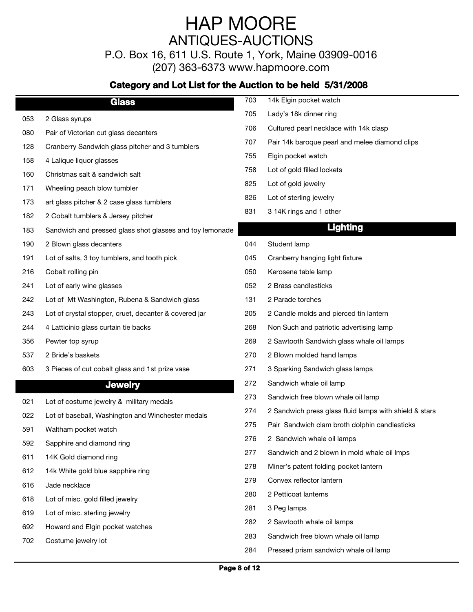P.O. Box 16, 611 U.S. Route 1, York, Maine 03909-0016

(207) 363-6373 www.hapmoore.com

|            | <b>Glass</b>                                                              | 703 | 14k Elgin pocket watch                                 |
|------------|---------------------------------------------------------------------------|-----|--------------------------------------------------------|
| 053        | 2 Glass syrups                                                            | 705 | Lady's 18k dinner ring                                 |
| 080        | Pair of Victorian cut glass decanters                                     | 706 | Cultured pearl necklace with 14k clasp                 |
| 128        | Cranberry Sandwich glass pitcher and 3 tumblers                           | 707 | Pair 14k baroque pearl and melee diamond clips         |
| 158        | 4 Lalique liquor glasses                                                  | 755 | Elgin pocket watch                                     |
| 160        | Christmas salt & sandwich salt                                            | 758 | Lot of gold filled lockets                             |
| 171        | Wheeling peach blow tumbler                                               | 825 | Lot of gold jewelry                                    |
| 173        | art glass pitcher & 2 case glass tumblers                                 | 826 | Lot of sterling jewelry                                |
| 182        | 2 Cobalt tumblers & Jersey pitcher                                        | 831 | 3 14K rings and 1 other                                |
| 183        | Sandwich and pressed glass shot glasses and toy lemonade                  |     | <b>Lighting</b>                                        |
| 190        | 2 Blown glass decanters                                                   | 044 | Student lamp                                           |
| 191        | Lot of salts, 3 toy tumblers, and tooth pick                              | 045 | Cranberry hanging light fixture                        |
| 216        | Cobalt rolling pin                                                        | 050 | Kerosene table lamp                                    |
| 241        | Lot of early wine glasses                                                 | 052 | 2 Brass candlesticks                                   |
| 242        | Lot of Mt Washington, Rubena & Sandwich glass                             | 131 | 2 Parade torches                                       |
| 243        | Lot of crystal stopper, cruet, decanter & covered jar                     | 205 | 2 Candle molds and pierced tin lantern                 |
| 244        | 4 Latticinio glass curtain tie backs                                      | 268 | Non Such and patriotic advertising lamp                |
| 356        | Pewter top syrup                                                          | 269 | 2 Sawtooth Sandwich glass whale oil lamps              |
| 537        | 2 Bride's baskets                                                         | 270 | 2 Blown molded hand lamps                              |
| 603        | 3 Pieces of cut cobalt glass and 1st prize vase                           | 271 | 3 Sparking Sandwich glass lamps                        |
|            | <b>Jewelry</b>                                                            | 272 | Sandwich whale oil lamp                                |
|            | Lot of costume jewelry & military medals                                  | 273 | Sandwich free blown whale oil lamp                     |
| 021        |                                                                           | 274 | 2 Sandwich press glass fluid lamps with shield & stars |
| 022<br>591 | Lot of baseball, Washington and Winchester medals<br>Waltham pocket watch | 275 | Pair Sandwich clam broth dolphin candlesticks          |
| 592        | Sapphire and diamond ring                                                 | 276 | 2 Sandwich whale oil lamps                             |
| 611        | 14K Gold diamond ring                                                     | 277 | Sandwich and 2 blown in mold whale oil Imps            |
| 612        | 14k White gold blue sapphire ring                                         | 278 | Miner's patent folding pocket lantern                  |
|            | Jade necklace                                                             | 279 | Convex reflector lantern                               |
| 616<br>618 | Lot of misc. gold filled jewelry                                          | 280 | 2 Petticoat lanterns                                   |
|            |                                                                           | 281 | 3 Peg lamps                                            |
| 619        | Lot of misc. sterling jewelry<br>Howard and Elgin pocket watches          | 282 | 2 Sawtooth whale oil lamps                             |
| 692        | Costume jewelry lot                                                       | 283 | Sandwich free blown whale oil lamp                     |
| 702        |                                                                           | 284 | Pressed prism sandwich whale oil lamp                  |
|            |                                                                           |     |                                                        |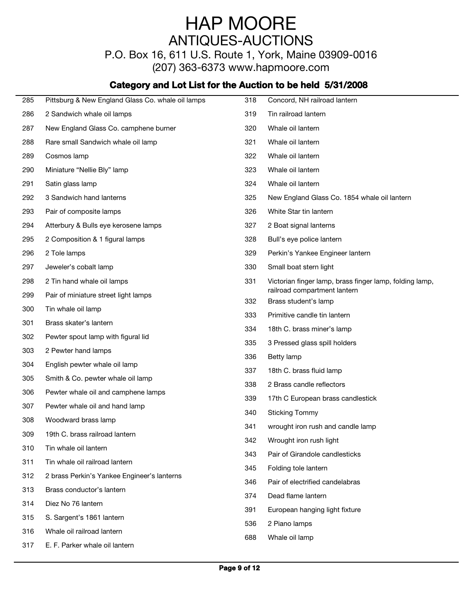P.O. Box 16, 611 U.S. Route 1, York, Maine 03909-0016

(207) 363-6373 www.hapmoore.com

| 285 | Pittsburg & New England Glass Co. whale oil lamps | 318 | Concord, NH railroad lantern                            |
|-----|---------------------------------------------------|-----|---------------------------------------------------------|
| 286 | 2 Sandwich whale oil lamps                        | 319 | Tin railroad lantern                                    |
| 287 | New England Glass Co. camphene burner             | 320 | Whale oil lantern                                       |
| 288 | Rare small Sandwich whale oil lamp                | 321 | Whale oil lantern                                       |
| 289 | Cosmos lamp                                       | 322 | Whale oil lantern                                       |
| 290 | Miniature "Nellie Bly" lamp                       | 323 | Whale oil lantern                                       |
| 291 | Satin glass lamp                                  | 324 | Whale oil lantern                                       |
| 292 | 3 Sandwich hand lanterns                          | 325 | New England Glass Co. 1854 whale oil lantern            |
| 293 | Pair of composite lamps                           | 326 | White Star tin lantern                                  |
| 294 | Atterbury & Bulls eye kerosene lamps              | 327 | 2 Boat signal lanterns                                  |
| 295 | 2 Composition & 1 figural lamps                   | 328 | Bull's eye police lantern                               |
| 296 | 2 Tole lamps                                      | 329 | Perkin's Yankee Engineer lantern                        |
| 297 | Jeweler's cobalt lamp                             | 330 | Small boat stern light                                  |
| 298 | 2 Tin hand whale oil lamps                        | 331 | Victorian finger lamp, brass finger lamp, folding lamp, |
| 299 | Pair of miniature street light lamps              |     | railroad compartment lantern                            |
| 300 | Tin whale oil lamp                                | 332 | Brass student's lamp                                    |
| 301 | Brass skater's lantern                            | 333 | Primitive candle tin lantern                            |
| 302 | Pewter spout lamp with figural lid                | 334 | 18th C. brass miner's lamp                              |
| 303 | 2 Pewter hand lamps                               | 335 | 3 Pressed glass spill holders                           |
| 304 | English pewter whale oil lamp                     | 336 | Betty lamp                                              |
| 305 | Smith & Co. pewter whale oil lamp                 | 337 | 18th C. brass fluid lamp                                |
| 306 | Pewter whale oil and camphene lamps               | 338 | 2 Brass candle reflectors                               |
| 307 | Pewter whale oil and hand lamp                    | 339 | 17th C European brass candlestick                       |
| 308 | Woodward brass lamp                               | 340 | <b>Sticking Tommy</b>                                   |
| 309 | 19th C. brass railroad lantern                    | 341 | wrought iron rush and candle lamp                       |
| 310 | Tin whale oil lantern                             | 342 | Wrought iron rush light                                 |
| 311 | Tin whale oil railroad lantern                    | 343 | Pair of Girandole candlesticks                          |
| 312 | 2 brass Perkin's Yankee Engineer's lanterns       | 345 | Folding tole lantern                                    |
| 313 | Brass conductor's lantern                         | 346 | Pair of electrified candelabras                         |
| 314 | Diez No 76 lantern                                | 374 | Dead flame lantern                                      |
| 315 | S. Sargent's 1861 lantern                         | 391 | European hanging light fixture                          |
|     |                                                   | 536 | 2 Piano lamps                                           |
| 316 | Whale oil railroad lantern                        | 688 | Whale oil lamp                                          |
| 317 | E. F. Parker whale oil lantern                    |     |                                                         |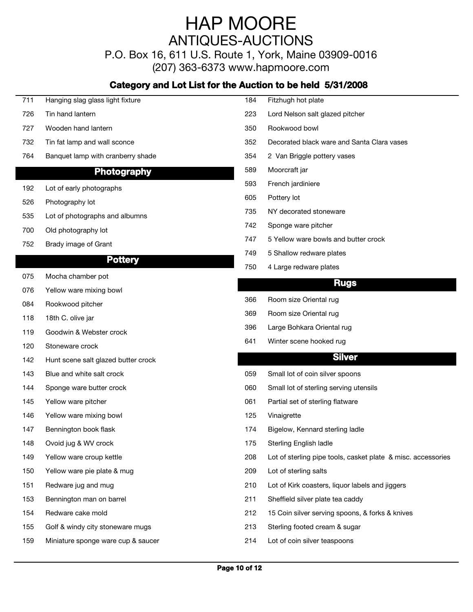P.O. Box 16, 611 U.S. Route 1, York, Maine 03909-0016

(207) 363-6373 www.hapmoore.com

| 711 | Hanging slag glass light fixture    | 184 | Fitzhugh hot plate                                           |
|-----|-------------------------------------|-----|--------------------------------------------------------------|
| 726 | Tin hand lantern                    | 223 | Lord Nelson salt glazed pitcher                              |
| 727 | Wooden hand lantern                 | 350 | Rookwood bowl                                                |
| 732 | Tin fat lamp and wall sconce        | 352 | Decorated black ware and Santa Clara vases                   |
| 764 | Banquet lamp with cranberry shade   | 354 | 2 Van Briggle pottery vases                                  |
|     | Photography                         | 589 | Moorcraft jar                                                |
| 192 | Lot of early photographs            | 593 | French jardiniere                                            |
| 526 | Photography lot                     | 605 | Pottery lot                                                  |
| 535 | Lot of photographs and albumns      | 735 | NY decorated stoneware                                       |
| 700 | Old photography lot                 | 742 | Sponge ware pitcher                                          |
| 752 | Brady image of Grant                | 747 | 5 Yellow ware bowls and butter crock                         |
|     |                                     | 749 | 5 Shallow redware plates                                     |
|     | <b>Pottery</b>                      | 750 | 4 Large redware plates                                       |
| 075 | Mocha chamber pot                   |     | <b>Rugs</b>                                                  |
| 076 | Yellow ware mixing bowl             |     |                                                              |
| 084 | Rookwood pitcher                    | 366 | Room size Oriental rug                                       |
| 118 | 18th C. olive jar                   | 369 | Room size Oriental rug                                       |
| 119 | Goodwin & Webster crock             | 396 | Large Bohkara Oriental rug                                   |
| 120 | Stoneware crock                     | 641 | Winter scene hooked rug                                      |
| 142 | Hunt scene salt glazed butter crock |     | <b>Silver</b>                                                |
| 143 | Blue and white salt crock           | 059 | Small lot of coin silver spoons                              |
| 144 | Sponge ware butter crock            | 060 | Small lot of sterling serving utensils                       |
| 145 | Yellow ware pitcher                 | 061 | Partial set of sterling flatware                             |
| 146 | Yellow ware mixing bowl             | 125 | Vinaigrette                                                  |
| 147 | Bennington book flask               | 174 | Bigelow, Kennard sterling ladle                              |
| 148 | Ovoid jug & WV crock                | 175 | Sterling English ladle                                       |
| 149 | Yellow ware croup kettle            | 208 | Lot of sterling pipe tools, casket plate & misc. accessories |
| 150 | Yellow ware pie plate & mug         | 209 | Lot of sterling salts                                        |
| 151 | Redware jug and mug                 | 210 | Lot of Kirk coasters, liquor labels and jiggers              |
| 153 | Bennington man on barrel            | 211 | Sheffield silver plate tea caddy                             |
| 154 | Redware cake mold                   | 212 | 15 Coin silver serving spoons, & forks & knives              |
| 155 | Golf & windy city stoneware mugs    | 213 | Sterling footed cream & sugar                                |
| 159 | Miniature sponge ware cup & saucer  | 214 | Lot of coin silver teaspoons                                 |
|     |                                     |     |                                                              |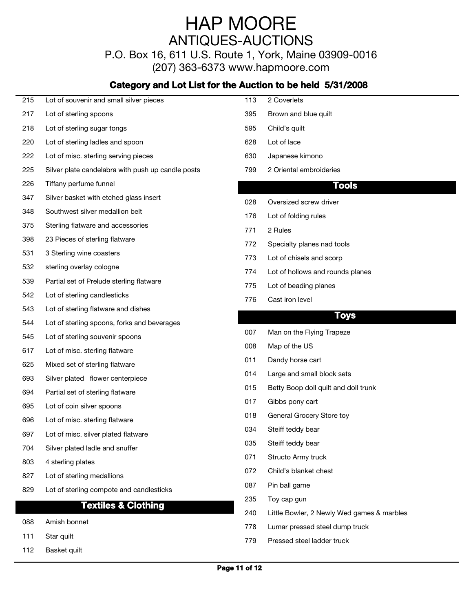P.O. Box 16, 611 U.S. Route 1, York, Maine 03909-0016

(207) 363-6373 www.hapmoore.com

#### **Category and Lot List for the Auction to be held 5/31/2008**

| 215 | Lot of souvenir and small silver pieces           | 113 | 2 Coverlets                                |
|-----|---------------------------------------------------|-----|--------------------------------------------|
| 217 | Lot of sterling spoons                            | 395 | Brown and blue quilt                       |
| 218 | Lot of sterling sugar tongs                       | 595 | Child's quilt                              |
| 220 | Lot of sterling ladles and spoon                  | 628 | Lot of lace                                |
| 222 | Lot of misc. sterling serving pieces              | 630 | Japanese kimono                            |
| 225 | Silver plate candelabra with push up candle posts | 799 | 2 Oriental embroideries                    |
| 226 | Tiffany perfume funnel                            |     | Tools                                      |
| 347 | Silver basket with etched glass insert            | 028 | Oversized screw driver                     |
| 348 | Southwest silver medallion belt                   | 176 | Lot of folding rules                       |
| 375 | Sterling flatware and accessories                 | 771 | 2 Rules                                    |
| 398 | 23 Pieces of sterling flatware                    | 772 | Specialty planes nad tools                 |
| 531 | 3 Sterling wine coasters                          | 773 | Lot of chisels and scorp                   |
| 532 | sterling overlay cologne                          | 774 | Lot of hollows and rounds planes           |
| 539 | Partial set of Prelude sterling flatware          | 775 | Lot of beading planes                      |
| 542 | Lot of sterling candlesticks                      | 776 | Cast iron level                            |
| 543 | Lot of sterling flatware and dishes               |     |                                            |
| 544 | Lot of sterling spoons, forks and beverages       |     | <b>Toys</b>                                |
| 545 | Lot of sterling souvenir spoons                   | 007 | Man on the Flying Trapeze                  |
| 617 | Lot of misc. sterling flatware                    | 008 | Map of the US                              |
| 625 | Mixed set of sterling flatware                    | 011 | Dandy horse cart                           |
| 693 | Silver plated flower centerpiece                  | 014 | Large and small block sets                 |
| 694 | Partial set of sterling flatware                  | 015 | Betty Boop doll quilt and doll trunk       |
| 695 | Lot of coin silver spoons                         | 017 | Gibbs pony cart                            |
| 696 | Lot of misc. sterling flatware                    | 018 | General Grocery Store toy                  |
| 697 | Lot of misc. silver plated flatware               | 034 | Steiff teddy bear                          |
| 704 | Silver plated ladle and snuffer                   | 035 | Steiff teddy bear                          |
| 803 | 4 sterling plates                                 | 071 | Structo Army truck                         |
| 827 | Lot of sterling medallions                        | 072 | Child's blanket chest                      |
| 829 | Lot of sterling compote and candlesticks          | 087 | Pin ball game                              |
|     | <b>Textiles &amp; Clothing</b>                    | 235 | Toy cap gun                                |
|     |                                                   | 240 | Little Bowler, 2 Newly Wed games & marbles |
| 088 | Amish bonnet                                      | 778 | Lumar pressed steel dump truck             |

111 Star quilt 113.00 Star quilt 114.000 Star quilt 114.000 Star quilt 114.000 Star quilt 113.000 Star quilt 1

112 Basket quilt **113.000 and 113.000 and 113.000 and 113.000 and 113.000 and 113.000 and 113.000 and 113.000**